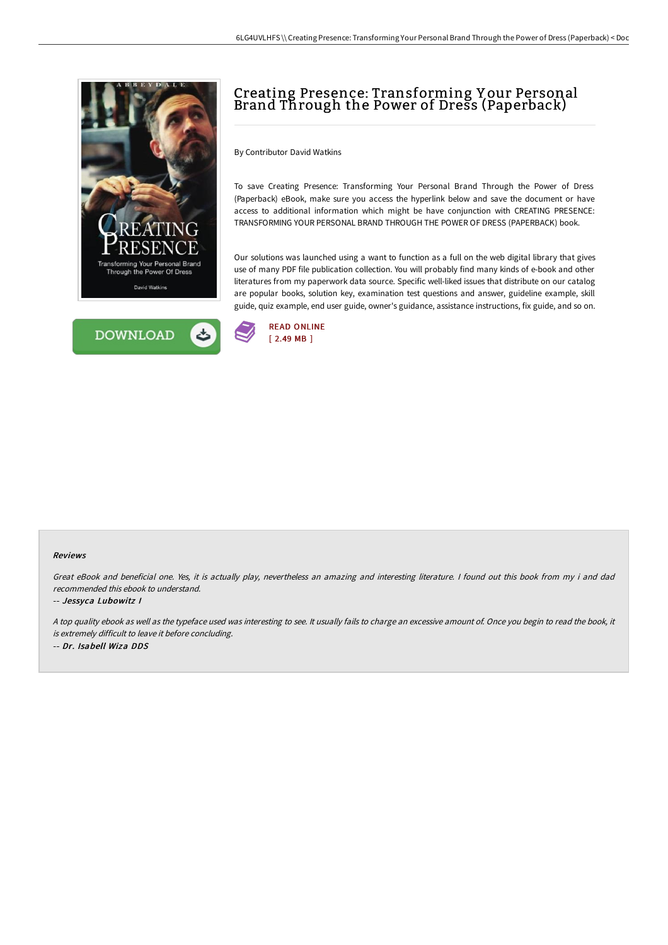



# Creating Presence: Transforming Y our Personal Brand Through the Power of Dress (Paperback)

By Contributor David Watkins

To save Creating Presence: Transforming Your Personal Brand Through the Power of Dress (Paperback) eBook, make sure you access the hyperlink below and save the document or have access to additional information which might be have conjunction with CREATING PRESENCE: TRANSFORMING YOUR PERSONAL BRAND THROUGH THE POWER OF DRESS (PAPERBACK) book.

Our solutions was launched using a want to function as a full on the web digital library that gives use of many PDF file publication collection. You will probably find many kinds of e-book and other literatures from my paperwork data source. Specific well-liked issues that distribute on our catalog are popular books, solution key, examination test questions and answer, guideline example, skill guide, quiz example, end user guide, owner's guidance, assistance instructions, fix guide, and so on.



#### Reviews

Great eBook and beneficial one. Yes, it is actually play, nevertheless an amazing and interesting literature. <sup>I</sup> found out this book from my i and dad recommended this ebook to understand.

-- Jessyca Lubowitz I

<sup>A</sup> top quality ebook as well as the typeface used was interesting to see. It usually fails to charge an excessive amount of. Once you begin to read the book, it is extremely difficult to leave it before concluding. -- Dr. Isabell Wiza DDS